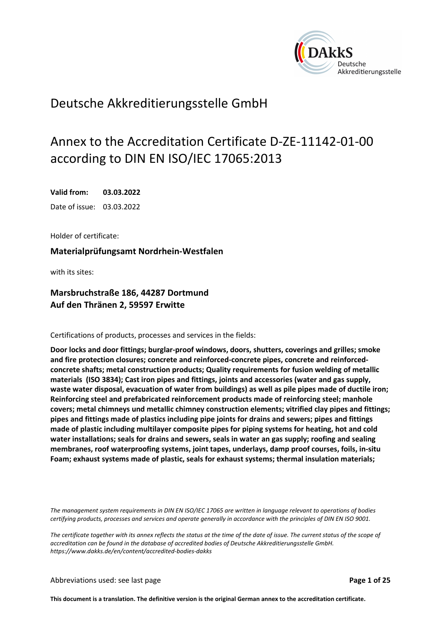

## Deutsche Akkreditierungsstelle GmbH

# Annex to the Accreditation Certificate D-ZE-11142-01-00 according to DIN EN ISO/IEC 17065:2013

**Valid from: 03.03.2022**  Date of issue: 03.03.2022

Holder of certificate:

**Materialprüfungsamt Nordrhein-Westfalen** 

with its sites:

### **Marsbruchstraße 186, 44287 Dortmund Auf den Thränen 2, 59597 Erwitte**

Certifications of products, processes and services in the fields:

**Door locks and door fittings; burglar-proof windows, doors, shutters, coverings and grilles; smoke and fire protection closures; concrete and reinforced-concrete pipes, concrete and reinforcedconcrete shafts; metal construction products; Quality requirements for fusion welding of metallic materials (ISO 3834); Cast iron pipes and fittings, joints and accessories (water and gas supply, waste water disposal, evacuation of water from buildings) as well as pile pipes made of ductile iron; Reinforcing steel and prefabricated reinforcement products made of reinforcing steel; manhole covers; metal chimneys und metallic chimney construction elements; vitrified clay pipes and fittings; pipes and fittings made of plastics including pipe joints for drains and sewers; pipes and fittings made of plastic including multilayer composite pipes for piping systems for heating, hot and cold water installations; seals for drains and sewers, seals in water an gas supply; roofing and sealing membranes, roof waterproofing systems, joint tapes, underlays, damp proof courses, foils, in-situ Foam; exhaust systems made of plastic, seals for exhaust systems; thermal insulation materials;** 

*The management system requirements in DIN EN ISO/IEC 17065 are written in language relevant to operations of bodies certifying products, processes and services and operate generally in accordance with the principles of DIN EN ISO 9001.* 

*The certificate together with its annex reflects the status at the time of the date of issue. The current status of the scope of accreditation can be found in the database of accredited bodies of Deutsche Akkreditierungsstelle GmbH. https://www.dakks.de/en/content/accredited-bodies-dakks*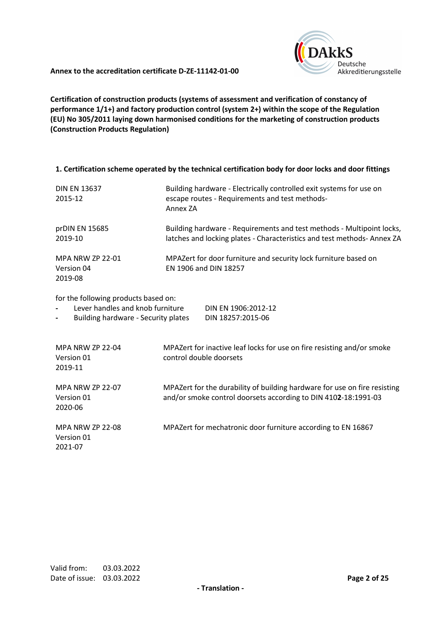

**Certification of construction products (systems of assessment and verification of constancy of performance 1/1+) and factory production control (system 2+) within the scope of the Regulation (EU) No 305/2011 laying down harmonised conditions for the marketing of construction products (Construction Products Regulation)**

#### **1. Certification scheme operated by the technical certification body for door locks and door fittings**

| <b>DIN EN 13637</b><br>2015-12            | Building hardware - Electrically controlled exit systems for use on<br>escape routes - Requirements and test methods-<br>Annex ZA                |
|-------------------------------------------|--------------------------------------------------------------------------------------------------------------------------------------------------|
| prDIN EN 15685<br>2019-10                 | Building hardware - Requirements and test methods - Multipoint locks,<br>latches and locking plates - Characteristics and test methods- Annex ZA |
| MPA NRW ZP 22-01<br>Version 04<br>2019-08 | MPAZert for door furniture and security lock furniture based on<br>EN 1906 and DIN 18257                                                         |

for the following products based on:

- **-** Lever handles and knob furniture DIN EN 1906:2012-12
- **-** Building hardware Security plates DIN 18257:2015-06

| <b>MPA NRW ZP 22-04</b><br>Version 01<br>2019-11 | MPAZert for inactive leaf locks for use on fire resisting and/or smoke<br>control double doorsets                                           |
|--------------------------------------------------|---------------------------------------------------------------------------------------------------------------------------------------------|
| <b>MPA NRW ZP 22-07</b><br>Version 01<br>2020-06 | MPAZert for the durability of building hardware for use on fire resisting<br>and/or smoke control doorsets according to DIN 4102-18:1991-03 |
| <b>MPA NRW ZP 22-08</b><br>Version 01<br>2021-07 | MPAZert for mechatronic door furniture according to EN 16867                                                                                |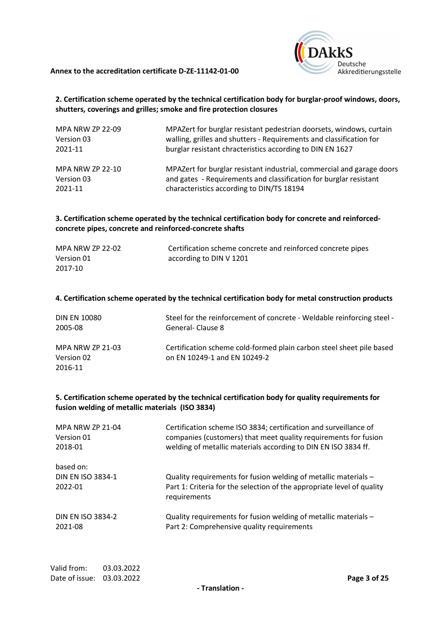

#### **2. Certification scheme operated by the technical certification body for burglar-proof windows, doors, shutters, coverings and grilles; smoke and fire protection closures**

| <b>MPA NRW ZP 22-09</b> | MPAZert for burglar resistant pedestrian doorsets, windows, curtain   |
|-------------------------|-----------------------------------------------------------------------|
| Version 03              | walling, grilles and shutters - Requirements and classification for   |
| 2021-11                 | burglar resistant chracteristics according to DIN EN 1627             |
| <b>MPA NRW ZP 22-10</b> | MPAZert for burglar resistant industrial, commercial and garage doors |
| Version 03              | and gates - Requirements and classification for burglar resistant     |
| 2021-11                 | characteristics according to DIN/TS 18194                             |

#### **3. Certification scheme operated by the technical certification body for concrete and reinforcedconcrete pipes, concrete and reinforced-concrete shafts**

| MPA NRW ZP 22-02 | Certification scheme concrete and reinforced concrete pipes |
|------------------|-------------------------------------------------------------|
| Version 01       | according to DIN V 1201                                     |
| 2017-10          |                                                             |
|                  |                                                             |

#### **4. Certification scheme operated by the technical certification body for metal construction products**

| <b>DIN EN 10080</b>                              | Steel for the reinforcement of concrete - Weldable reinforcing steel -                               |
|--------------------------------------------------|------------------------------------------------------------------------------------------------------|
| 2005-08                                          | General-Clause 8                                                                                     |
| <b>MPA NRW ZP 21-03</b><br>Version 02<br>2016-11 | Certification scheme cold-formed plain carbon steel sheet pile based<br>on EN 10249-1 and EN 10249-2 |

#### **5. Certification scheme operated by the technical certification body for quality requirements for fusion welding of metallic materials (ISO 3834)**

| <b>MPA NRW ZP 21-04</b>  | Certification scheme ISO 3834; certification and surveillance of       |
|--------------------------|------------------------------------------------------------------------|
| Version 01               | companies (customers) that meet quality requirements for fusion        |
| 2018-01                  | welding of metallic materials according to DIN EN ISO 3834 ff.         |
| based on:                | Quality requirements for fusion welding of metallic materials -        |
| <b>DIN EN ISO 3834-1</b> | Part 1: Criteria for the selection of the appropriate level of quality |
| 2022-01                  | requirements                                                           |
| <b>DIN EN ISO 3834-2</b> | Quality requirements for fusion welding of metallic materials -        |
| 2021-08                  | Part 2: Comprehensive quality requirements                             |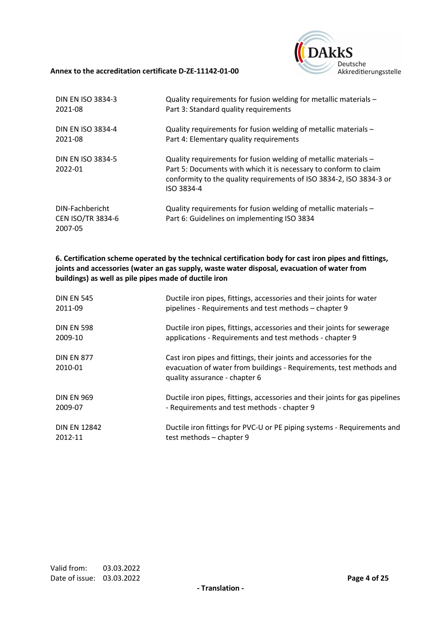

| <b>DIN EN ISO 3834-3</b>                               | Quality requirements for fusion welding for metallic materials -                                                                                                                                                         |
|--------------------------------------------------------|--------------------------------------------------------------------------------------------------------------------------------------------------------------------------------------------------------------------------|
| 2021-08                                                | Part 3: Standard quality requirements                                                                                                                                                                                    |
| <b>DIN EN ISO 3834-4</b>                               | Quality requirements for fusion welding of metallic materials -                                                                                                                                                          |
| 2021-08                                                | Part 4: Elementary quality requirements                                                                                                                                                                                  |
| <b>DIN EN ISO 3834-5</b><br>2022-01                    | Quality requirements for fusion welding of metallic materials -<br>Part 5: Documents with which it is necessary to conform to claim<br>conformity to the quality requirements of ISO 3834-2, ISO 3834-3 or<br>ISO 3834-4 |
| DIN-Fachbericht<br><b>CEN ISO/TR 3834-6</b><br>2007-05 | Quality requirements for fusion welding of metallic materials -<br>Part 6: Guidelines on implementing ISO 3834                                                                                                           |

**6. Certification scheme operated by the technical certification body for cast iron pipes and fittings, joints and accessories (water an gas supply, waste water disposal, evacuation of water from buildings) as well as pile pipes made of ductile iron** 

| <b>DIN EN 545</b>            | Ductile iron pipes, fittings, accessories and their joints for water                                                                                                       |
|------------------------------|----------------------------------------------------------------------------------------------------------------------------------------------------------------------------|
| 2011-09                      | pipelines - Requirements and test methods – chapter 9                                                                                                                      |
| <b>DIN EN 598</b>            | Ductile iron pipes, fittings, accessories and their joints for sewerage                                                                                                    |
| 2009-10                      | applications - Requirements and test methods - chapter 9                                                                                                                   |
| <b>DIN EN 877</b><br>2010-01 | Cast iron pipes and fittings, their joints and accessories for the<br>evacuation of water from buildings - Requirements, test methods and<br>quality assurance - chapter 6 |
| <b>DIN EN 969</b>            | Ductile iron pipes, fittings, accessories and their joints for gas pipelines                                                                                               |
| 2009-07                      | - Requirements and test methods - chapter 9                                                                                                                                |
| <b>DIN EN 12842</b>          | Ductile iron fittings for PVC-U or PE piping systems - Requirements and                                                                                                    |
| 2012-11                      | test methods - chapter 9                                                                                                                                                   |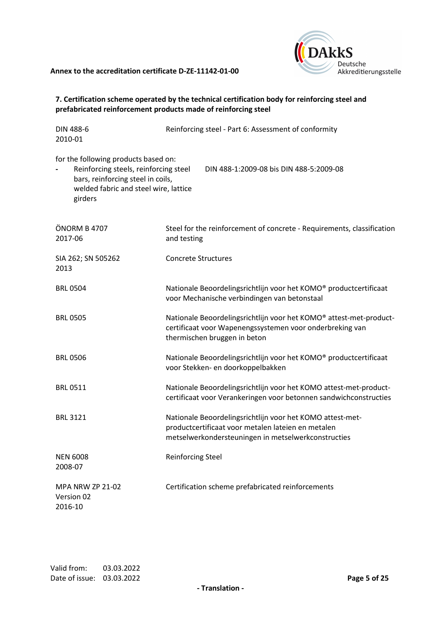

#### **7. Certification scheme operated by the technical certification body for reinforcing steel and prefabricated reinforcement products made of reinforcing steel**

| <b>DIN 488-6</b><br>2010-01                                                                                                                                            | Reinforcing steel - Part 6: Assessment of conformity                                                                                                                   |
|------------------------------------------------------------------------------------------------------------------------------------------------------------------------|------------------------------------------------------------------------------------------------------------------------------------------------------------------------|
| for the following products based on:<br>Reinforcing steels, reinforcing steel<br>bars, reinforcing steel in coils,<br>welded fabric and steel wire, lattice<br>girders | DIN 488-1:2009-08 bis DIN 488-5:2009-08                                                                                                                                |
| ÖNORM B 4707<br>2017-06                                                                                                                                                | Steel for the reinforcement of concrete - Requirements, classification<br>and testing                                                                                  |
| SIA 262; SN 505262<br>2013                                                                                                                                             | <b>Concrete Structures</b>                                                                                                                                             |
| <b>BRL 0504</b>                                                                                                                                                        | Nationale Beoordelingsrichtlijn voor het KOMO® productcertificaat<br>voor Mechanische verbindingen van betonstaal                                                      |
| <b>BRL 0505</b>                                                                                                                                                        | Nationale Beoordelingsrichtlijn voor het KOMO® attest-met-product-<br>certificaat voor Wapenengssystemen voor onderbreking van<br>thermischen bruggen in beton         |
| <b>BRL 0506</b>                                                                                                                                                        | Nationale Beoordelingsrichtlijn voor het KOMO® productcertificaat<br>voor Stekken- en doorkoppelbakken                                                                 |
| <b>BRL 0511</b>                                                                                                                                                        | Nationale Beoordelingsrichtlijn voor het KOMO attest-met-product-<br>certificaat voor Verankeringen voor betonnen sandwichconstructies                                 |
| <b>BRL 3121</b>                                                                                                                                                        | Nationale Beoordelingsrichtlijn voor het KOMO attest-met-<br>productcertificaat voor metalen lateien en metalen<br>metselwerkondersteuningen in metselwerkconstructies |
| <b>NEN 6008</b><br>2008-07                                                                                                                                             | Reinforcing Steel                                                                                                                                                      |
| <b>MPA NRW ZP 21-02</b><br>Version 02<br>2016-10                                                                                                                       | Certification scheme prefabricated reinforcements                                                                                                                      |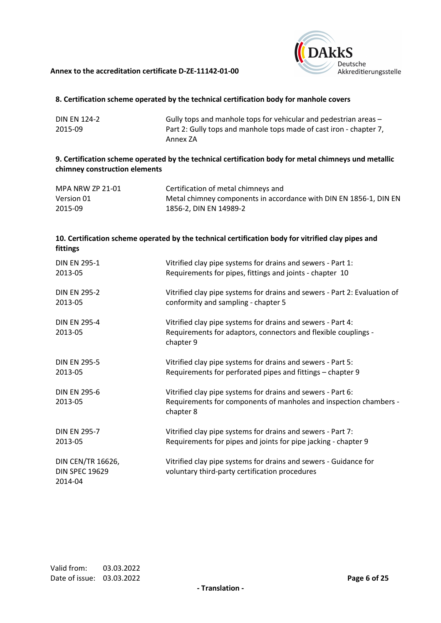

#### **8. Certification scheme operated by the technical certification body for manhole covers**

| <b>DIN EN 124-2</b> | Gully tops and manhole tops for vehicular and pedestrian areas –   |
|---------------------|--------------------------------------------------------------------|
| 2015-09             | Part 2: Gully tops and manhole tops made of cast iron - chapter 7, |
|                     | Annex ZA                                                           |

#### **9. Certification scheme operated by the technical certification body for metal chimneys und metallic chimney construction elements**

| MPA NRW ZP 21-01 | Certification of metal chimneys and                               |
|------------------|-------------------------------------------------------------------|
| Version 01       | Metal chimney components in accordance with DIN EN 1856-1, DIN EN |
| 2015-09          | 1856-2, DIN EN 14989-2                                            |

#### **10. Certification scheme operated by the technical certification body for vitrified clay pipes and fittings**

| <b>DIN EN 295-1</b>                                   | Vitrified clay pipe systems for drains and sewers - Part 1:                                                                                   |
|-------------------------------------------------------|-----------------------------------------------------------------------------------------------------------------------------------------------|
| 2013-05                                               | Requirements for pipes, fittings and joints - chapter 10                                                                                      |
| <b>DIN FN 295-2</b>                                   | Vitrified clay pipe systems for drains and sewers - Part 2: Evaluation of                                                                     |
| 2013-05                                               | conformity and sampling - chapter 5                                                                                                           |
| <b>DIN EN 295-4</b><br>2013-05                        | Vitrified clay pipe systems for drains and sewers - Part 4:<br>Requirements for adaptors, connectors and flexible couplings -<br>chapter 9    |
| <b>DIN EN 295-5</b>                                   | Vitrified clay pipe systems for drains and sewers - Part 5:                                                                                   |
| 2013-05                                               | Requirements for perforated pipes and fittings – chapter 9                                                                                    |
| <b>DIN EN 295-6</b><br>2013-05                        | Vitrified clay pipe systems for drains and sewers - Part 6:<br>Requirements for components of manholes and inspection chambers -<br>chapter 8 |
| <b>DIN EN 295-7</b>                                   | Vitrified clay pipe systems for drains and sewers - Part 7:                                                                                   |
| 2013-05                                               | Requirements for pipes and joints for pipe jacking - chapter 9                                                                                |
| DIN CEN/TR 16626,<br><b>DIN SPEC 19629</b><br>2014-04 | Vitrified clay pipe systems for drains and sewers - Guidance for<br>voluntary third-party certification procedures                            |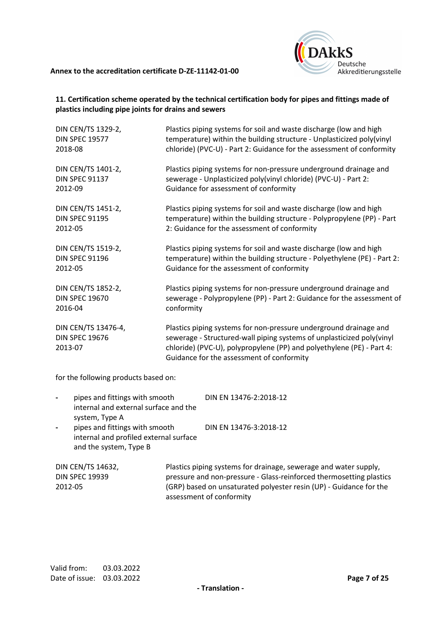

#### **11. Certification scheme operated by the technical certification body for pipes and fittings made of plastics including pipe joints for drains and sewers**

| DIN CEN/TS 1329-2,                                      | Plastics piping systems for soil and waste discharge (low and high                                                                                                                                                                                               |
|---------------------------------------------------------|------------------------------------------------------------------------------------------------------------------------------------------------------------------------------------------------------------------------------------------------------------------|
| <b>DIN SPEC 19577</b>                                   | temperature) within the building structure - Unplasticized poly(vinyl                                                                                                                                                                                            |
| 2018-08                                                 | chloride) (PVC-U) - Part 2: Guidance for the assessment of conformity                                                                                                                                                                                            |
| DIN CEN/TS 1401-2,                                      | Plastics piping systems for non-pressure underground drainage and                                                                                                                                                                                                |
| <b>DIN SPEC 91137</b>                                   | sewerage - Unplasticized poly(vinyl chloride) (PVC-U) - Part 2:                                                                                                                                                                                                  |
| 2012-09                                                 | Guidance for assessment of conformity                                                                                                                                                                                                                            |
| DIN CEN/TS 1451-2,                                      | Plastics piping systems for soil and waste discharge (low and high                                                                                                                                                                                               |
| <b>DIN SPEC 91195</b>                                   | temperature) within the building structure - Polypropylene (PP) - Part                                                                                                                                                                                           |
| 2012-05                                                 | 2: Guidance for the assessment of conformity                                                                                                                                                                                                                     |
| DIN CEN/TS 1519-2,                                      | Plastics piping systems for soil and waste discharge (low and high                                                                                                                                                                                               |
| <b>DIN SPEC 91196</b>                                   | temperature) within the building structure - Polyethylene (PE) - Part 2:                                                                                                                                                                                         |
| 2012-05                                                 | Guidance for the assessment of conformity                                                                                                                                                                                                                        |
| DIN CEN/TS 1852-2,                                      | Plastics piping systems for non-pressure underground drainage and                                                                                                                                                                                                |
| <b>DIN SPEC 19670</b>                                   | sewerage - Polypropylene (PP) - Part 2: Guidance for the assessment of                                                                                                                                                                                           |
| 2016-04                                                 | conformity                                                                                                                                                                                                                                                       |
| DIN CEN/TS 13476-4,<br><b>DIN SPEC 19676</b><br>2013-07 | Plastics piping systems for non-pressure underground drainage and<br>sewerage - Structured-wall piping systems of unplasticized poly(vinyl<br>chloride) (PVC-U), polypropylene (PP) and polyethylene (PE) - Part 4:<br>Guidance for the assessment of conformity |

for the following products based on:

| -                        | pipes and fittings with smooth<br>internal and external surface and the<br>system, Type A          | DIN EN 13476-2:2018-12                                                                                                                                                                                                                    |
|--------------------------|----------------------------------------------------------------------------------------------------|-------------------------------------------------------------------------------------------------------------------------------------------------------------------------------------------------------------------------------------------|
| $\overline{\phantom{0}}$ | pipes and fittings with smooth<br>internal and profiled external surface<br>and the system, Type B | DIN EN 13476-3:2018-12                                                                                                                                                                                                                    |
| 2012-05                  | DIN CEN/TS 14632,<br><b>DIN SPEC 19939</b>                                                         | Plastics piping systems for drainage, sewerage and water supply,<br>pressure and non-pressure - Glass-reinforced thermosetting plastics<br>(GRP) based on unsaturated polyester resin (UP) - Guidance for the<br>assessment of conformity |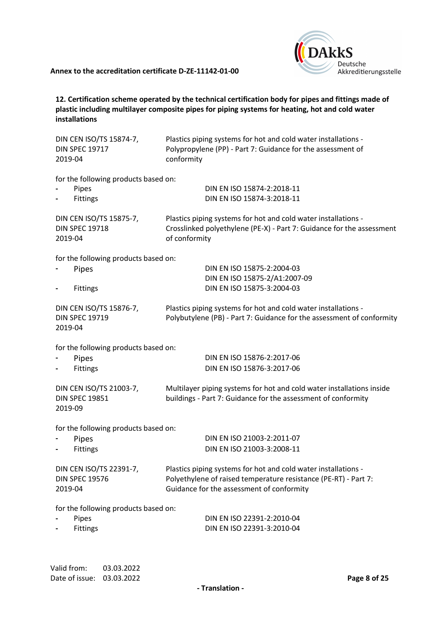

**12. Certification scheme operated by the technical certification body for pipes and fittings made of plastic including multilayer composite pipes for piping systems for heating, hot and cold water installations**

| DIN CEN ISO/TS 15874-7,<br><b>DIN SPEC 19717</b><br>2019-04                           | Plastics piping systems for hot and cold water installations -<br>Polypropylene (PP) - Part 7: Guidance for the assessment of<br>conformity                                    |  |
|---------------------------------------------------------------------------------------|--------------------------------------------------------------------------------------------------------------------------------------------------------------------------------|--|
| for the following products based on:<br>Pipes<br>Fittings                             | DIN EN ISO 15874-2:2018-11<br>DIN EN ISO 15874-3:2018-11                                                                                                                       |  |
| DIN CEN ISO/TS 15875-7,<br><b>DIN SPEC 19718</b><br>2019-04                           | Plastics piping systems for hot and cold water installations -<br>Crosslinked polyethylene (PE-X) - Part 7: Guidance for the assessment<br>of conformity                       |  |
| for the following products based on:<br>Pipes<br>Fittings<br>$\overline{\phantom{a}}$ | DIN EN ISO 15875-2:2004-03<br>DIN EN ISO 15875-2/A1:2007-09<br>DIN EN ISO 15875-3:2004-03                                                                                      |  |
| DIN CEN ISO/TS 15876-7,<br><b>DIN SPEC 19719</b><br>2019-04                           | Plastics piping systems for hot and cold water installations -<br>Polybutylene (PB) - Part 7: Guidance for the assessment of conformity                                        |  |
| for the following products based on:<br>Pipes<br>Fittings                             | DIN EN ISO 15876-2:2017-06<br>DIN EN ISO 15876-3:2017-06                                                                                                                       |  |
| DIN CEN ISO/TS 21003-7,<br><b>DIN SPEC 19851</b><br>2019-09                           | Multilayer piping systems for hot and cold water installations inside<br>buildings - Part 7: Guidance for the assessment of conformity                                         |  |
| for the following products based on:<br>Pipes<br>Fittings                             | DIN EN ISO 21003-2:2011-07<br>DIN EN ISO 21003-3:2008-11                                                                                                                       |  |
| DIN CEN ISO/TS 22391-7,<br><b>DIN SPEC 19576</b><br>2019-04                           | Plastics piping systems for hot and cold water installations -<br>Polyethylene of raised temperature resistance (PE-RT) - Part 7:<br>Guidance for the assessment of conformity |  |
| for the following products based on:<br>Pipes<br><b>Fittings</b>                      | DIN EN ISO 22391-2:2010-04<br>DIN EN ISO 22391-3:2010-04                                                                                                                       |  |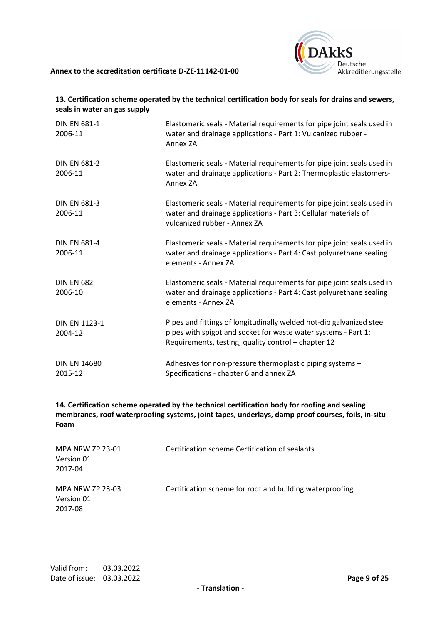

#### **13. Certification scheme operated by the technical certification body for seals for drains and sewers, seals in water an gas supply**

| <b>DIN EN 681-1</b><br>2006-11  | Elastomeric seals - Material requirements for pipe joint seals used in<br>water and drainage applications - Part 1: Vulcanized rubber -<br>Annex ZA                                           |  |  |
|---------------------------------|-----------------------------------------------------------------------------------------------------------------------------------------------------------------------------------------------|--|--|
| <b>DIN EN 681-2</b><br>2006-11  | Elastomeric seals - Material requirements for pipe joint seals used in<br>water and drainage applications - Part 2: Thermoplastic elastomers-<br>Annex ZA                                     |  |  |
| <b>DIN EN 681-3</b><br>2006-11  | Elastomeric seals - Material requirements for pipe joint seals used in<br>water and drainage applications - Part 3: Cellular materials of<br>vulcanized rubber - Annex ZA                     |  |  |
| <b>DIN EN 681-4</b><br>2006-11  | Elastomeric seals - Material requirements for pipe joint seals used in<br>water and drainage applications - Part 4: Cast polyurethane sealing<br>elements - Annex ZA                          |  |  |
| <b>DIN EN 682</b><br>2006-10    | Elastomeric seals - Material requirements for pipe joint seals used in<br>water and drainage applications - Part 4: Cast polyurethane sealing<br>elements - Annex ZA                          |  |  |
| <b>DIN EN 1123-1</b><br>2004-12 | Pipes and fittings of longitudinally welded hot-dip galvanized steel<br>pipes with spigot and socket for waste water systems - Part 1:<br>Requirements, testing, quality control - chapter 12 |  |  |
| <b>DIN EN 14680</b><br>2015-12  | Adhesives for non-pressure thermoplastic piping systems -<br>Specifications - chapter 6 and annex ZA                                                                                          |  |  |

**14. Certification scheme operated by the technical certification body for roofing and sealing membranes, roof waterproofing systems, joint tapes, underlays, damp proof courses, foils, in-situ Foam**

| <b>MPA NRW ZP 23-01</b><br>Version 01<br>2017-04 | Certification scheme Certification of sealants           |
|--------------------------------------------------|----------------------------------------------------------|
| <b>MPA NRW ZP 23-03</b><br>Version 01<br>2017-08 | Certification scheme for roof and building waterproofing |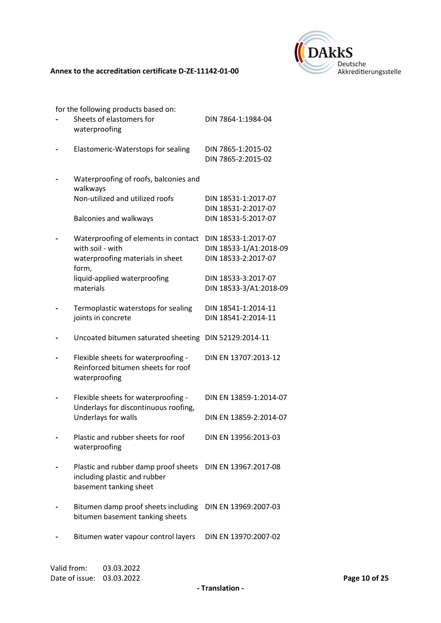

for the following products based on:

| Sheets of elastomers for<br>waterproofing                                                      | DIN 7864-1:1984-04                            |
|------------------------------------------------------------------------------------------------|-----------------------------------------------|
| Elastomeric-Waterstops for sealing                                                             | DIN 7865-1:2015-02<br>DIN 7865-2:2015-02      |
| Waterproofing of roofs, balconies and<br>walkways                                              |                                               |
| Non-utilized and utilized roofs                                                                | DIN 18531-1:2017-07<br>DIN 18531-2:2017-07    |
| <b>Balconies and walkways</b>                                                                  | DIN 18531-5:2017-07                           |
| Waterproofing of elements in contact<br>with soil - with                                       | DIN 18533-1:2017-07<br>DIN 18533-1/A1:2018-09 |
| waterproofing materials in sheet<br>form,                                                      | DIN 18533-2:2017-07                           |
| liquid-applied waterproofing<br>materials                                                      | DIN 18533-3:2017-07<br>DIN 18533-3/A1:2018-09 |
| Termoplastic waterstops for sealing                                                            | DIN 18541-1:2014-11                           |
| joints in concrete                                                                             | DIN 18541-2:2014-11                           |
| Uncoated bitumen saturated sheeting                                                            | DIN 52129:2014-11                             |
| Flexible sheets for waterproofing -<br>Reinforced bitumen sheets for roof<br>waterproofing     | DIN EN 13707:2013-12                          |
| Flexible sheets for waterproofing -<br>Underlays for discontinuous roofing,                    | DIN EN 13859-1:2014-07                        |
| Underlays for walls                                                                            | DIN EN 13859-2:2014-07                        |
| Plastic and rubber sheets for roof<br>waterproofing                                            | DIN EN 13956:2013-03                          |
| Plastic and rubber damp proof sheets<br>including plastic and rubber<br>basement tanking sheet | DIN EN 13967:2017-08                          |
| Bitumen damp proof sheets including<br>bitumen basement tanking sheets                         | DIN EN 13969:2007-03                          |
| Bitumen water vapour control layers                                                            | DIN EN 13970:2007-02                          |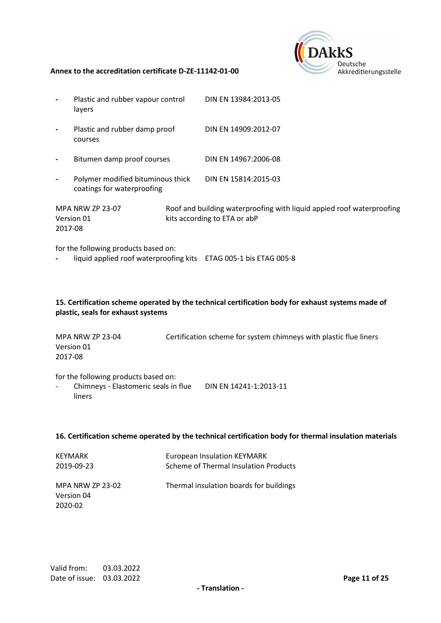

| Plastic and rubber vapour control<br>layers                     | DIN EN 13984:2013-05                        |
|-----------------------------------------------------------------|---------------------------------------------|
| Plastic and rubber damp proof<br>courses                        | DIN EN 14909:2012-07                        |
| Bitumen damp proof courses                                      | DIN EN 14967:2006-08                        |
| Polymer modified bituminous thick<br>coatings for waterproofing | DIN EN 15814:2015-03                        |
|                                                                 | <b>Poof and building waterproofing with</b> |

MPA NRW ZP 23-07 Version 01 2017-08 Roof and building waterproofing with liquid appied roof waterproofing kits according to ETA or abP

for the following products based on:

**-** liquid applied roof waterproofing kits ETAG 005-1 bis ETAG 005-8

#### **15. Certification scheme operated by the technical certification body for exhaust systems made of plastic, seals for exhaust systems**

MPA NRW ZP 23-04 Version 01 2017-08 Certification scheme for system chimneys with plastic flue liners

for the following products based on:

- Chimneys - Elastomeric seals in flue DIN EN 14241-1:2013-11 liners

#### **16. Certification scheme operated by the technical certification body for thermal insulation materials**

| KEYMARK<br>2019-09-23          | <b>European Insulation KEYMARK</b><br>Scheme of Thermal Insulation Products |
|--------------------------------|-----------------------------------------------------------------------------|
| MPA NRW ZP 23-02<br>Version 04 | Thermal insulation boards for buildings                                     |
| 2020-02                        |                                                                             |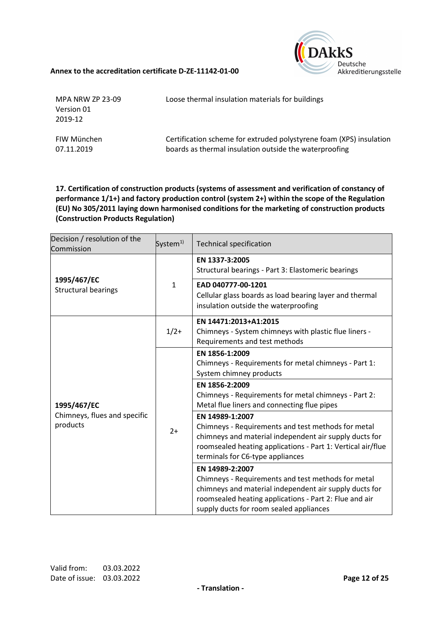

| MPA NRW ZP 23-09<br>Version 01<br>2019-12 | Loose thermal insulation materials for buildings                    |
|-------------------------------------------|---------------------------------------------------------------------|
| FIW München                               | Certification scheme for extruded polystyrene foam (XPS) insulation |
| 07.11.2019                                | boards as thermal insulation outside the waterproofing              |

**17. Certification of construction products (systems of assessment and verification of constancy of performance 1/1+) and factory production control (system 2+) within the scope of the Regulation (EU) No 305/2011 laying down harmonised conditions for the marketing of construction products (Construction Products Regulation)**

| Decision / resolution of the<br>Commission              | System <sup>1)</sup> | <b>Technical specification</b>                                                                                                                                                                                                       |  |
|---------------------------------------------------------|----------------------|--------------------------------------------------------------------------------------------------------------------------------------------------------------------------------------------------------------------------------------|--|
| 1995/467/EC<br><b>Structural bearings</b>               | $\mathbf{1}$         | EN 1337-3:2005<br>Structural bearings - Part 3: Elastomeric bearings                                                                                                                                                                 |  |
|                                                         |                      | EAD 040777-00-1201<br>Cellular glass boards as load bearing layer and thermal<br>insulation outside the waterproofing                                                                                                                |  |
| 1995/467/EC<br>Chimneys, flues and specific<br>products | $1/2+$               | EN 14471:2013+A1:2015<br>Chimneys - System chimneys with plastic flue liners -<br>Requirements and test methods                                                                                                                      |  |
|                                                         | $2+$                 | EN 1856-1:2009<br>Chimneys - Requirements for metal chimneys - Part 1:<br>System chimney products                                                                                                                                    |  |
|                                                         |                      | EN 1856-2:2009<br>Chimneys - Requirements for metal chimneys - Part 2:<br>Metal flue liners and connecting flue pipes                                                                                                                |  |
|                                                         |                      | EN 14989-1:2007<br>Chimneys - Requirements and test methods for metal<br>chimneys and material independent air supply ducts for<br>roomsealed heating applications - Part 1: Vertical air/flue<br>terminals for C6-type appliances   |  |
|                                                         |                      | EN 14989-2:2007<br>Chimneys - Requirements and test methods for metal<br>chimneys and material independent air supply ducts for<br>roomsealed heating applications - Part 2: Flue and air<br>supply ducts for room sealed appliances |  |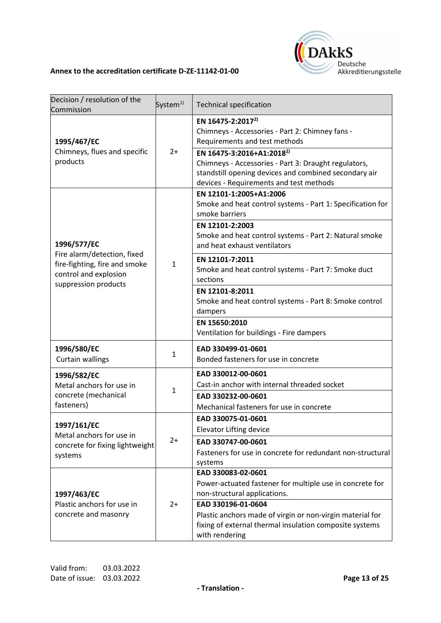

| Decision / resolution of the<br>Commission                                                                    | System $^{1)}$ | <b>Technical specification</b>                                                                                                                                                                                                                                                                                         |
|---------------------------------------------------------------------------------------------------------------|----------------|------------------------------------------------------------------------------------------------------------------------------------------------------------------------------------------------------------------------------------------------------------------------------------------------------------------------|
| 1995/467/EC<br>Chimneys, flues and specific<br>products                                                       | $2+$           | EN 16475-2:2017 <sup>2)</sup><br>Chimneys - Accessories - Part 2: Chimney fans -<br>Requirements and test methods<br>EN 16475-3:2016+A1:2018 <sup>2)</sup><br>Chimneys - Accessories - Part 3: Draught regulators,<br>standstill opening devices and combined secondary air<br>devices - Requirements and test methods |
| 1996/577/EC                                                                                                   | $\mathbf{1}$   | EN 12101-1:2005+A1:2006<br>Smoke and heat control systems - Part 1: Specification for<br>smoke barriers<br>EN 12101-2:2003<br>Smoke and heat control systems - Part 2: Natural smoke<br>and heat exhaust ventilators                                                                                                   |
| Fire alarm/detection, fixed<br>fire-fighting, fire and smoke<br>control and explosion<br>suppression products |                | EN 12101-7:2011<br>Smoke and heat control systems - Part 7: Smoke duct<br>sections<br>EN 12101-8:2011<br>Smoke and heat control systems - Part 8: Smoke control<br>dampers                                                                                                                                             |
|                                                                                                               |                | EN 15650:2010<br>Ventilation for buildings - Fire dampers                                                                                                                                                                                                                                                              |
| 1996/580/EC<br><b>Curtain wallings</b>                                                                        | $\mathbf{1}$   | EAD 330499-01-0601<br>Bonded fasteners for use in concrete                                                                                                                                                                                                                                                             |
| 1996/582/EC<br>Metal anchors for use in<br>concrete (mechanical<br>fasteners)                                 | $\mathbf{1}$   | EAD 330012-00-0601<br>Cast-in anchor with internal threaded socket<br>EAD 330232-00-0601<br>Mechanical fasteners for use in concrete                                                                                                                                                                                   |
| 1997/161/EC<br>Metal anchors for use in<br>concrete for fixing lightweight<br>systems                         | $2+$           | EAD 330075-01-0601<br><b>Elevator Lifting device</b><br>EAD 330747-00-0601<br>Fasteners for use in concrete for redundant non-structural<br>systems                                                                                                                                                                    |
| 1997/463/EC<br>Plastic anchors for use in<br>concrete and masonry                                             | $2+$           | EAD 330083-02-0601<br>Power-actuated fastener for multiple use in concrete for<br>non-structural applications.<br>EAD 330196-01-0604<br>Plastic anchors made of virgin or non-virgin material for<br>fixing of external thermal insulation composite systems<br>with rendering                                         |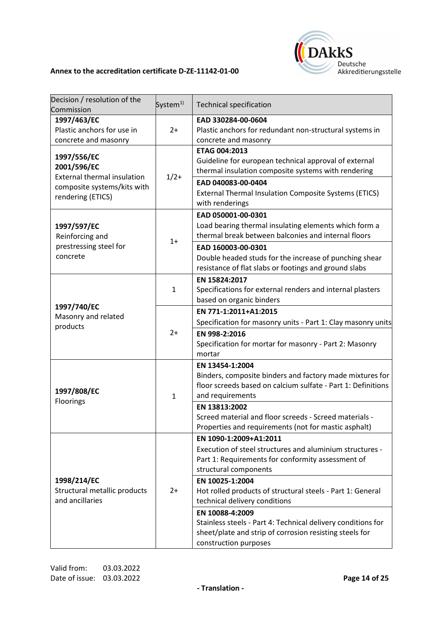

| Decision / resolution of the<br>Commission        | System <sup>1)</sup> | <b>Technical specification</b>                               |
|---------------------------------------------------|----------------------|--------------------------------------------------------------|
| 1997/463/EC                                       |                      | EAD 330284-00-0604                                           |
| Plastic anchors for use in                        | $2+$                 | Plastic anchors for redundant non-structural systems in      |
| concrete and masonry                              |                      | concrete and masonry                                         |
|                                                   |                      | ETAG 004:2013                                                |
| 1997/556/EC                                       |                      | Guideline for european technical approval of external        |
| 2001/596/EC<br><b>External thermal insulation</b> |                      | thermal insulation composite systems with rendering          |
| composite systems/kits with                       | $1/2+$               | EAD 040083-00-0404                                           |
| rendering (ETICS)                                 |                      | External Thermal Insulation Composite Systems (ETICS)        |
|                                                   |                      | with renderings                                              |
|                                                   |                      | EAD 050001-00-0301                                           |
| 1997/597/EC                                       |                      | Load bearing thermal insulating elements which form a        |
| Reinforcing and                                   |                      | thermal break between balconies and internal floors          |
| prestressing steel for                            | $1+$                 | EAD 160003-00-0301                                           |
| concrete                                          |                      | Double headed studs for the increase of punching shear       |
|                                                   |                      | resistance of flat slabs or footings and ground slabs        |
|                                                   |                      | EN 15824:2017                                                |
|                                                   | $\mathbf{1}$         | Specifications for external renders and internal plasters    |
|                                                   |                      | based on organic binders                                     |
| 1997/740/EC                                       |                      | EN 771-1:2011+A1:2015                                        |
| Masonry and related                               |                      | Specification for masonry units - Part 1: Clay masonry units |
| products                                          | $2+$                 | EN 998-2:2016                                                |
|                                                   |                      | Specification for mortar for masonry - Part 2: Masonry       |
|                                                   |                      | mortar                                                       |
|                                                   |                      | EN 13454-1:2004                                              |
|                                                   | $\mathbf{1}$         | Binders, composite binders and factory made mixtures for     |
|                                                   |                      | floor screeds based on calcium sulfate - Part 1: Definitions |
| 1997/808/EC                                       |                      | and requirements                                             |
| Floorings                                         |                      | EN 13813:2002                                                |
|                                                   |                      | Screed material and floor screeds - Screed materials -       |
|                                                   |                      | Properties and requirements (not for mastic asphalt)         |
|                                                   |                      | EN 1090-1:2009+A1:2011                                       |
|                                                   |                      | Execution of steel structures and aluminium structures -     |
|                                                   |                      | Part 1: Requirements for conformity assessment of            |
|                                                   |                      | structural components                                        |
| 1998/214/EC                                       |                      | EN 10025-1:2004                                              |
| Structural metallic products                      | $2+$                 | Hot rolled products of structural steels - Part 1: General   |
| and ancillaries                                   |                      | technical delivery conditions                                |
|                                                   |                      | EN 10088-4:2009                                              |
|                                                   |                      | Stainless steels - Part 4: Technical delivery conditions for |
|                                                   |                      | sheet/plate and strip of corrosion resisting steels for      |
|                                                   |                      | construction purposes                                        |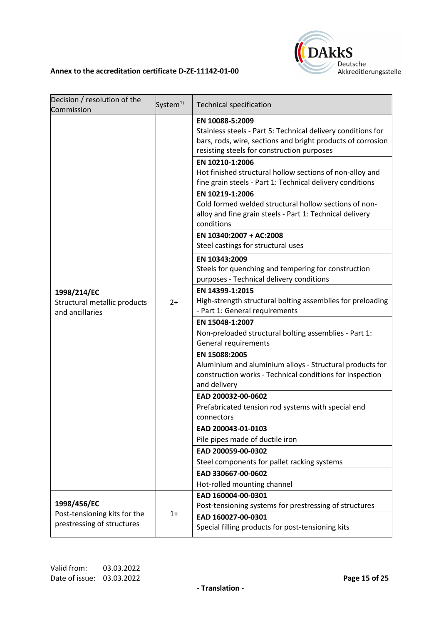

| Decision / resolution of the<br>Commission                     | System <sup>1)</sup> | <b>Technical specification</b>                                                                                                                                                               |
|----------------------------------------------------------------|----------------------|----------------------------------------------------------------------------------------------------------------------------------------------------------------------------------------------|
| 1998/214/EC<br>Structural metallic products<br>and ancillaries | $2+$                 | EN 10088-5:2009<br>Stainless steels - Part 5: Technical delivery conditions for<br>bars, rods, wire, sections and bright products of corrosion<br>resisting steels for construction purposes |
|                                                                |                      | EN 10210-1:2006<br>Hot finished structural hollow sections of non-alloy and<br>fine grain steels - Part 1: Technical delivery conditions                                                     |
|                                                                |                      | EN 10219-1:2006<br>Cold formed welded structural hollow sections of non-<br>alloy and fine grain steels - Part 1: Technical delivery<br>conditions                                           |
|                                                                |                      | EN 10340:2007 + AC:2008<br>Steel castings for structural uses                                                                                                                                |
|                                                                |                      | EN 10343:2009<br>Steels for quenching and tempering for construction<br>purposes - Technical delivery conditions                                                                             |
|                                                                |                      | EN 14399-1:2015<br>High-strength structural bolting assemblies for preloading<br>- Part 1: General requirements                                                                              |
|                                                                |                      | EN 15048-1:2007<br>Non-preloaded structural bolting assemblies - Part 1:<br>General requirements                                                                                             |
|                                                                |                      | EN 15088:2005<br>Aluminium and aluminium alloys - Structural products for<br>construction works - Technical conditions for inspection<br>and delivery                                        |
|                                                                |                      | EAD 200032-00-0602                                                                                                                                                                           |
|                                                                |                      | Prefabricated tension rod systems with special end<br>connectors                                                                                                                             |
|                                                                |                      | EAD 200043-01-0103                                                                                                                                                                           |
|                                                                |                      | Pile pipes made of ductile iron                                                                                                                                                              |
|                                                                |                      | EAD 200059-00-0302                                                                                                                                                                           |
|                                                                |                      | Steel components for pallet racking systems                                                                                                                                                  |
|                                                                |                      | EAD 330667-00-0602                                                                                                                                                                           |
|                                                                |                      | Hot-rolled mounting channel                                                                                                                                                                  |
| 1998/456/EC                                                    |                      | EAD 160004-00-0301<br>Post-tensioning systems for prestressing of structures                                                                                                                 |
| Post-tensioning kits for the<br>prestressing of structures     | $1+$                 | EAD 160027-00-0301<br>Special filling products for post-tensioning kits                                                                                                                      |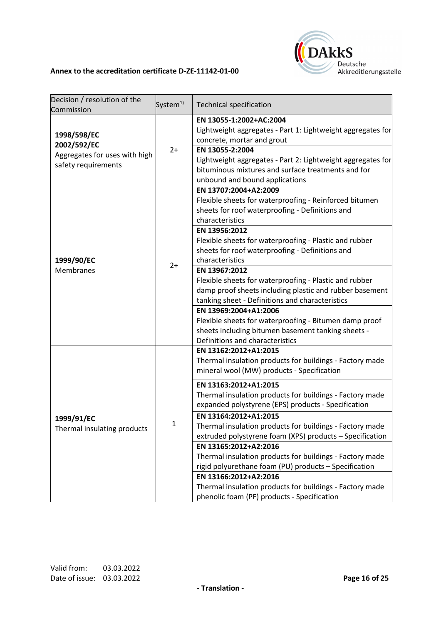

| Decision / resolution of the<br>Commission                                         | System <sup>1)</sup> | <b>Technical specification</b>                                                                                                                                                                                                                                                                                                                                                       |
|------------------------------------------------------------------------------------|----------------------|--------------------------------------------------------------------------------------------------------------------------------------------------------------------------------------------------------------------------------------------------------------------------------------------------------------------------------------------------------------------------------------|
| 1998/598/EC<br>2002/592/EC<br>Aggregates for uses with high<br>safety requirements | $2+$                 | EN 13055-1:2002+AC:2004<br>Lightweight aggregates - Part 1: Lightweight aggregates for<br>concrete, mortar and grout<br>EN 13055-2:2004<br>Lightweight aggregates - Part 2: Lightweight aggregates for<br>bituminous mixtures and surface treatments and for<br>unbound and bound applications                                                                                       |
| 1999/90/EC<br>Membranes                                                            | $2+$                 | EN 13707:2004+A2:2009<br>Flexible sheets for waterproofing - Reinforced bitumen<br>sheets for roof waterproofing - Definitions and<br>characteristics<br>EN 13956:2012<br>Flexible sheets for waterproofing - Plastic and rubber<br>sheets for roof waterproofing - Definitions and                                                                                                  |
|                                                                                    |                      | characteristics<br>EN 13967:2012<br>Flexible sheets for waterproofing - Plastic and rubber<br>damp proof sheets including plastic and rubber basement<br>tanking sheet - Definitions and characteristics<br>EN 13969:2004+A1:2006<br>Flexible sheets for waterproofing - Bitumen damp proof<br>sheets including bitumen basement tanking sheets -<br>Definitions and characteristics |
| 1999/91/EC<br>Thermal insulating products                                          | 1                    | EN 13162:2012+A1:2015<br>Thermal insulation products for buildings - Factory made<br>mineral wool (MW) products - Specification                                                                                                                                                                                                                                                      |
|                                                                                    |                      | EN 13163:2012+A1:2015<br>Thermal insulation products for buildings - Factory made<br>expanded polystyrene (EPS) products - Specification                                                                                                                                                                                                                                             |
|                                                                                    |                      | EN 13164:2012+A1:2015<br>Thermal insulation products for buildings - Factory made<br>extruded polystyrene foam (XPS) products - Specification<br>EN 13165:2012+A2:2016<br>Thermal insulation products for buildings - Factory made<br>rigid polyurethane foam (PU) products - Specification<br>EN 13166:2012+A2:2016<br>Thermal insulation products for buildings - Factory made     |
|                                                                                    |                      | phenolic foam (PF) products - Specification                                                                                                                                                                                                                                                                                                                                          |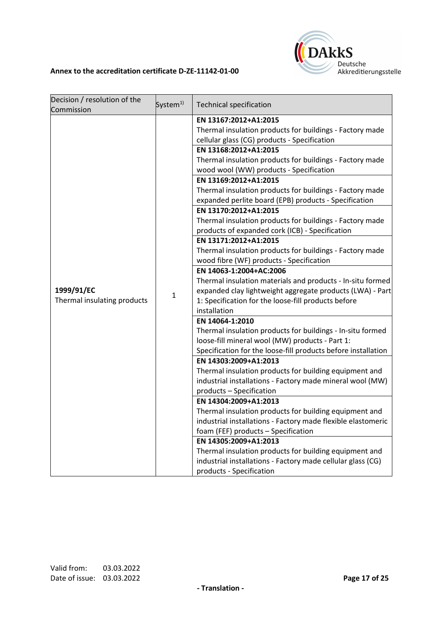

| Decision / resolution of the | System <sup>1)</sup> | <b>Technical specification</b>                                |
|------------------------------|----------------------|---------------------------------------------------------------|
| Commission                   |                      |                                                               |
|                              |                      | EN 13167:2012+A1:2015                                         |
|                              |                      | Thermal insulation products for buildings - Factory made      |
|                              |                      | cellular glass (CG) products - Specification                  |
|                              |                      | EN 13168:2012+A1:2015                                         |
|                              |                      | Thermal insulation products for buildings - Factory made      |
|                              |                      | wood wool (WW) products - Specification                       |
|                              |                      | EN 13169:2012+A1:2015                                         |
|                              |                      | Thermal insulation products for buildings - Factory made      |
|                              |                      | expanded perlite board (EPB) products - Specification         |
|                              |                      | EN 13170:2012+A1:2015                                         |
|                              |                      | Thermal insulation products for buildings - Factory made      |
|                              |                      | products of expanded cork (ICB) - Specification               |
|                              |                      | EN 13171:2012+A1:2015                                         |
|                              |                      | Thermal insulation products for buildings - Factory made      |
|                              | 1                    | wood fibre (WF) products - Specification                      |
|                              |                      | EN 14063-1:2004+AC:2006                                       |
|                              |                      | Thermal insulation materials and products - In-situ formed    |
| 1999/91/EC                   |                      | expanded clay lightweight aggregate products (LWA) - Part     |
| Thermal insulating products  |                      | 1: Specification for the loose-fill products before           |
|                              |                      | installation                                                  |
|                              |                      | EN 14064-1:2010                                               |
|                              |                      | Thermal insulation products for buildings - In-situ formed    |
|                              |                      | loose-fill mineral wool (MW) products - Part 1:               |
|                              |                      | Specification for the loose-fill products before installation |
|                              |                      | EN 14303:2009+A1:2013                                         |
|                              |                      | Thermal insulation products for building equipment and        |
|                              |                      | industrial installations - Factory made mineral wool (MW)     |
|                              |                      | products - Specification                                      |
|                              |                      | EN 14304:2009+A1:2013                                         |
|                              |                      | Thermal insulation products for building equipment and        |
|                              |                      | industrial installations - Factory made flexible elastomeric  |
|                              |                      | foam (FEF) products - Specification                           |
|                              |                      | EN 14305:2009+A1:2013                                         |
|                              |                      | Thermal insulation products for building equipment and        |
|                              |                      | industrial installations - Factory made cellular glass (CG)   |
|                              |                      | products - Specification                                      |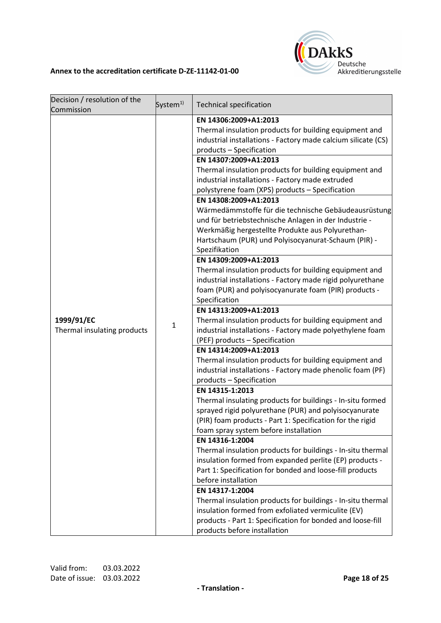

| Decision / resolution of the<br>Commission<br>1999/91/EC<br>Thermal insulating products | System <sup>1)</sup><br>$\mathbf{1}$ | <b>Technical specification</b><br>EN 14306:2009+A1:2013<br>Thermal insulation products for building equipment and<br>industrial installations - Factory made calcium silicate (CS)<br>products - Specification<br>EN 14307:2009+A1:2013<br>Thermal insulation products for building equipment and<br>industrial installations - Factory made extruded<br>polystyrene foam (XPS) products - Specification<br>EN 14308:2009+A1:2013<br>Wärmedämmstoffe für die technische Gebäudeausrüstung<br>und für betriebstechnische Anlagen in der Industrie -<br>Werkmäßig hergestellte Produkte aus Polyurethan-<br>Hartschaum (PUR) und Polyisocyanurat-Schaum (PIR) -<br>Spezifikation<br>EN 14309:2009+A1:2013<br>Thermal insulation products for building equipment and<br>industrial installations - Factory made rigid polyurethane<br>foam (PUR) and polyisocyanurate foam (PIR) products -<br>Specification<br>EN 14313:2009+A1:2013<br>Thermal insulation products for building equipment and<br>industrial installations - Factory made polyethylene foam<br>(PEF) products - Specification<br>EN 14314:2009+A1:2013<br>Thermal insulation products for building equipment and<br>industrial installations - Factory made phenolic foam (PF) |
|-----------------------------------------------------------------------------------------|--------------------------------------|----------------------------------------------------------------------------------------------------------------------------------------------------------------------------------------------------------------------------------------------------------------------------------------------------------------------------------------------------------------------------------------------------------------------------------------------------------------------------------------------------------------------------------------------------------------------------------------------------------------------------------------------------------------------------------------------------------------------------------------------------------------------------------------------------------------------------------------------------------------------------------------------------------------------------------------------------------------------------------------------------------------------------------------------------------------------------------------------------------------------------------------------------------------------------------------------------------------------------------------------|
|                                                                                         |                                      | products - Specification<br>EN 14315-1:2013<br>Thermal insulating products for buildings - In-situ formed<br>sprayed rigid polyurethane (PUR) and polyisocyanurate<br>(PIR) foam products - Part 1: Specification for the rigid<br>foam spray system before installation<br>EN 14316-1:2004<br>Thermal insulation products for buildings - In-situ thermal<br>insulation formed from expanded perlite (EP) products -<br>Part 1: Specification for bonded and loose-fill products<br>before installation<br>EN 14317-1:2004<br>Thermal insulation products for buildings - In-situ thermal<br>insulation formed from exfoliated vermiculite (EV)<br>products - Part 1: Specification for bonded and loose-fill<br>products before installation                                                                                                                                                                                                                                                                                                                                                                                                                                                                                               |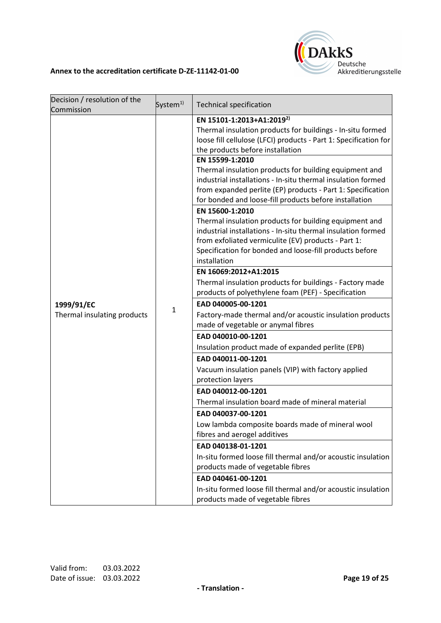

| Decision / resolution of the | System <sup>1)</sup> | <b>Technical specification</b>                                                                                                                                                                                                                                                                                                                                                                                                                                                                                                    |
|------------------------------|----------------------|-----------------------------------------------------------------------------------------------------------------------------------------------------------------------------------------------------------------------------------------------------------------------------------------------------------------------------------------------------------------------------------------------------------------------------------------------------------------------------------------------------------------------------------|
| Commission                   |                      |                                                                                                                                                                                                                                                                                                                                                                                                                                                                                                                                   |
|                              |                      | EN 15101-1:2013+A1:2019 <sup>2)</sup><br>Thermal insulation products for buildings - In-situ formed<br>loose fill cellulose (LFCI) products - Part 1: Specification for<br>the products before installation                                                                                                                                                                                                                                                                                                                       |
|                              |                      | EN 15599-1:2010<br>Thermal insulation products for building equipment and<br>industrial installations - In-situ thermal insulation formed<br>from expanded perlite (EP) products - Part 1: Specification<br>for bonded and loose-fill products before installation<br>EN 15600-1:2010<br>Thermal insulation products for building equipment and<br>industrial installations - In-situ thermal insulation formed<br>from exfoliated vermiculite (EV) products - Part 1:<br>Specification for bonded and loose-fill products before |
|                              |                      | installation                                                                                                                                                                                                                                                                                                                                                                                                                                                                                                                      |
|                              |                      | EN 16069:2012+A1:2015                                                                                                                                                                                                                                                                                                                                                                                                                                                                                                             |
|                              | $\mathbf 1$          | Thermal insulation products for buildings - Factory made<br>products of polyethylene foam (PEF) - Specification                                                                                                                                                                                                                                                                                                                                                                                                                   |
| 1999/91/EC                   |                      | EAD 040005-00-1201                                                                                                                                                                                                                                                                                                                                                                                                                                                                                                                |
| Thermal insulating products  |                      | Factory-made thermal and/or acoustic insulation products                                                                                                                                                                                                                                                                                                                                                                                                                                                                          |
|                              |                      | made of vegetable or anymal fibres                                                                                                                                                                                                                                                                                                                                                                                                                                                                                                |
|                              |                      | EAD 040010-00-1201                                                                                                                                                                                                                                                                                                                                                                                                                                                                                                                |
|                              |                      | Insulation product made of expanded perlite (EPB)                                                                                                                                                                                                                                                                                                                                                                                                                                                                                 |
|                              |                      | EAD 040011-00-1201                                                                                                                                                                                                                                                                                                                                                                                                                                                                                                                |
|                              |                      | Vacuum insulation panels (VIP) with factory applied<br>protection layers                                                                                                                                                                                                                                                                                                                                                                                                                                                          |
|                              |                      | EAD 040012-00-1201                                                                                                                                                                                                                                                                                                                                                                                                                                                                                                                |
|                              |                      | Thermal insulation board made of mineral material                                                                                                                                                                                                                                                                                                                                                                                                                                                                                 |
|                              |                      | EAD 040037-00-1201                                                                                                                                                                                                                                                                                                                                                                                                                                                                                                                |
|                              |                      | Low lambda composite boards made of mineral wool<br>fibres and aerogel additives                                                                                                                                                                                                                                                                                                                                                                                                                                                  |
|                              |                      | EAD 040138-01-1201                                                                                                                                                                                                                                                                                                                                                                                                                                                                                                                |
|                              |                      | In-situ formed loose fill thermal and/or acoustic insulation<br>products made of vegetable fibres                                                                                                                                                                                                                                                                                                                                                                                                                                 |
|                              |                      | EAD 040461-00-1201                                                                                                                                                                                                                                                                                                                                                                                                                                                                                                                |
|                              |                      | In-situ formed loose fill thermal and/or acoustic insulation<br>products made of vegetable fibres                                                                                                                                                                                                                                                                                                                                                                                                                                 |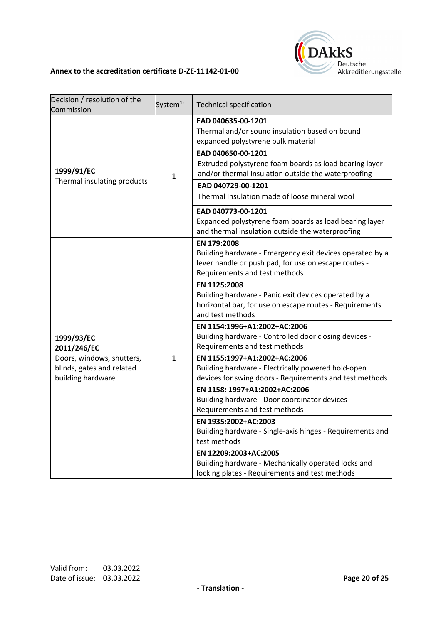

| Decision / resolution of the<br>Commission                                                               | System <sup>1)</sup> | <b>Technical specification</b>                                                                                                                                   |
|----------------------------------------------------------------------------------------------------------|----------------------|------------------------------------------------------------------------------------------------------------------------------------------------------------------|
| 1999/91/EC<br>Thermal insulating products                                                                | $\mathbf{1}$         | EAD 040635-00-1201<br>Thermal and/or sound insulation based on bound<br>expanded polystyrene bulk material                                                       |
|                                                                                                          |                      | EAD 040650-00-1201<br>Extruded polystyrene foam boards as load bearing layer<br>and/or thermal insulation outside the waterproofing<br>EAD 040729-00-1201        |
|                                                                                                          |                      | Thermal Insulation made of loose mineral wool                                                                                                                    |
|                                                                                                          |                      | EAD 040773-00-1201<br>Expanded polystyrene foam boards as load bearing layer<br>and thermal insulation outside the waterproofing                                 |
| 1999/93/EC<br>2011/246/EC<br>Doors, windows, shutters,<br>blinds, gates and related<br>building hardware | $\mathbf{1}$         | EN 179:2008<br>Building hardware - Emergency exit devices operated by a<br>lever handle or push pad, for use on escape routes -<br>Requirements and test methods |
|                                                                                                          |                      | EN 1125:2008<br>Building hardware - Panic exit devices operated by a<br>horizontal bar, for use on escape routes - Requirements<br>and test methods              |
|                                                                                                          |                      | EN 1154:1996+A1:2002+AC:2006<br>Building hardware - Controlled door closing devices -<br>Requirements and test methods                                           |
|                                                                                                          |                      | EN 1155:1997+A1:2002+AC:2006<br>Building hardware - Electrically powered hold-open<br>devices for swing doors - Requirements and test methods                    |
|                                                                                                          |                      | EN 1158: 1997+A1:2002+AC:2006<br>Building hardware - Door coordinator devices -<br>Requirements and test methods                                                 |
|                                                                                                          |                      | EN 1935:2002+AC:2003<br>Building hardware - Single-axis hinges - Requirements and<br>test methods                                                                |
|                                                                                                          |                      | EN 12209:2003+AC:2005<br>Building hardware - Mechanically operated locks and<br>locking plates - Requirements and test methods                                   |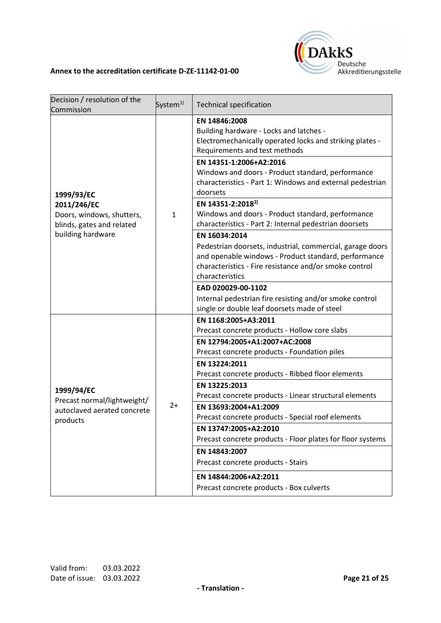

| Decision / resolution of the<br>Commission                                           | System <sup>1)</sup> | <b>Technical specification</b>                                                                                                                                                                                  |
|--------------------------------------------------------------------------------------|----------------------|-----------------------------------------------------------------------------------------------------------------------------------------------------------------------------------------------------------------|
| 1999/93/EC                                                                           | $\mathbf{1}$         | EN 14846:2008<br>Building hardware - Locks and latches -<br>Electromechanically operated locks and striking plates -<br>Requirements and test methods                                                           |
|                                                                                      |                      | EN 14351-1:2006+A2:2016<br>Windows and doors - Product standard, performance<br>characteristics - Part 1: Windows and external pedestrian<br>doorsets                                                           |
| 2011/246/EC<br>Doors, windows, shutters,<br>blinds, gates and related                |                      | EN 14351-2:2018 <sup>2)</sup><br>Windows and doors - Product standard, performance<br>characteristics - Part 2: Internal pedestrian doorsets                                                                    |
| building hardware                                                                    |                      | EN 16034:2014<br>Pedestrian doorsets, industrial, commercial, garage doors<br>and openable windows - Product standard, performance<br>characteristics - Fire resistance and/or smoke control<br>characteristics |
|                                                                                      |                      | EAD 020029-00-1102<br>Internal pedestrian fire resisting and/or smoke control<br>single or double leaf doorsets made of steel                                                                                   |
| 1999/94/EC<br>Precast normal/lightweight/<br>autoclaved aerated concrete<br>products | $2+$                 | EN 1168:2005+A3:2011<br>Precast concrete products - Hollow core slabs                                                                                                                                           |
|                                                                                      |                      | EN 12794:2005+A1:2007+AC:2008<br>Precast concrete products - Foundation piles                                                                                                                                   |
|                                                                                      |                      | EN 13224:2011<br>Precast concrete products - Ribbed floor elements                                                                                                                                              |
|                                                                                      |                      | EN 13225:2013<br>Precast concrete products - Linear structural elements                                                                                                                                         |
|                                                                                      |                      | EN 13693:2004+A1:2009<br>Precast concrete products - Special roof elements                                                                                                                                      |
|                                                                                      |                      | EN 13747:2005+A2:2010<br>Precast concrete products - Floor plates for floor systems                                                                                                                             |
|                                                                                      |                      | EN 14843:2007<br>Precast concrete products - Stairs                                                                                                                                                             |
|                                                                                      |                      | EN 14844:2006+A2:2011<br>Precast concrete products - Box culverts                                                                                                                                               |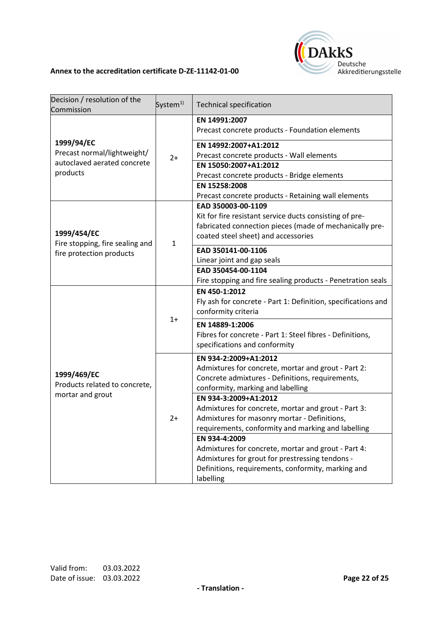

| Decision / resolution of the<br>Commission                                           | System <sup>1)</sup> | <b>Technical specification</b>                                                                                                                                                                                                                                                                                                                                                                                                                                                                                                                            |
|--------------------------------------------------------------------------------------|----------------------|-----------------------------------------------------------------------------------------------------------------------------------------------------------------------------------------------------------------------------------------------------------------------------------------------------------------------------------------------------------------------------------------------------------------------------------------------------------------------------------------------------------------------------------------------------------|
| 1999/94/EC<br>Precast normal/lightweight/<br>autoclaved aerated concrete<br>products | $2+$                 | EN 14991:2007<br>Precast concrete products - Foundation elements                                                                                                                                                                                                                                                                                                                                                                                                                                                                                          |
|                                                                                      |                      | EN 14992:2007+A1:2012<br>Precast concrete products - Wall elements                                                                                                                                                                                                                                                                                                                                                                                                                                                                                        |
|                                                                                      |                      | EN 15050:2007+A1:2012<br>Precast concrete products - Bridge elements                                                                                                                                                                                                                                                                                                                                                                                                                                                                                      |
|                                                                                      |                      | EN 15258:2008<br>Precast concrete products - Retaining wall elements                                                                                                                                                                                                                                                                                                                                                                                                                                                                                      |
| 1999/454/EC                                                                          | $\mathbf{1}$         | EAD 350003-00-1109<br>Kit for fire resistant service ducts consisting of pre-<br>fabricated connection pieces (made of mechanically pre-<br>coated steel sheet) and accessories                                                                                                                                                                                                                                                                                                                                                                           |
| Fire stopping, fire sealing and<br>fire protection products                          |                      | EAD 350141-00-1106<br>Linear joint and gap seals<br>EAD 350454-00-1104                                                                                                                                                                                                                                                                                                                                                                                                                                                                                    |
|                                                                                      |                      | Fire stopping and fire sealing products - Penetration seals                                                                                                                                                                                                                                                                                                                                                                                                                                                                                               |
|                                                                                      | $1+$                 | EN 450-1:2012<br>Fly ash for concrete - Part 1: Definition, specifications and<br>conformity criteria                                                                                                                                                                                                                                                                                                                                                                                                                                                     |
|                                                                                      |                      | EN 14889-1:2006<br>Fibres for concrete - Part 1: Steel fibres - Definitions,<br>specifications and conformity                                                                                                                                                                                                                                                                                                                                                                                                                                             |
| 1999/469/EC<br>Products related to concrete,<br>mortar and grout                     | $2+$                 | EN 934-2:2009+A1:2012<br>Admixtures for concrete, mortar and grout - Part 2:<br>Concrete admixtures - Definitions, requirements,<br>conformity, marking and labelling<br>EN 934-3:2009+A1:2012<br>Admixtures for concrete, mortar and grout - Part 3:<br>Admixtures for masonry mortar - Definitions,<br>requirements, conformity and marking and labelling<br>EN 934-4:2009<br>Admixtures for concrete, mortar and grout - Part 4:<br>Admixtures for grout for prestressing tendons -<br>Definitions, requirements, conformity, marking and<br>labelling |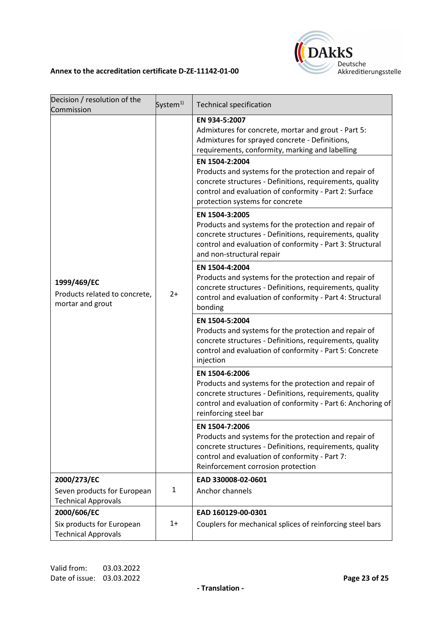

| Decision / resolution of the                                     | System <sup>1)</sup> | <b>Technical specification</b>                                                                                                                                                                                                                                                                                                                                                                                |
|------------------------------------------------------------------|----------------------|---------------------------------------------------------------------------------------------------------------------------------------------------------------------------------------------------------------------------------------------------------------------------------------------------------------------------------------------------------------------------------------------------------------|
| Commission                                                       |                      |                                                                                                                                                                                                                                                                                                                                                                                                               |
| 1999/469/EC<br>Products related to concrete,<br>mortar and grout | $2+$                 | EN 934-5:2007<br>Admixtures for concrete, mortar and grout - Part 5:<br>Admixtures for sprayed concrete - Definitions,<br>requirements, conformity, marking and labelling<br>EN 1504-2:2004<br>Products and systems for the protection and repair of<br>concrete structures - Definitions, requirements, quality<br>control and evaluation of conformity - Part 2: Surface<br>protection systems for concrete |
|                                                                  |                      | EN 1504-3:2005<br>Products and systems for the protection and repair of<br>concrete structures - Definitions, requirements, quality<br>control and evaluation of conformity - Part 3: Structural<br>and non-structural repair                                                                                                                                                                                 |
|                                                                  |                      | EN 1504-4:2004<br>Products and systems for the protection and repair of<br>concrete structures - Definitions, requirements, quality<br>control and evaluation of conformity - Part 4: Structural<br>bonding                                                                                                                                                                                                   |
|                                                                  |                      | EN 1504-5:2004<br>Products and systems for the protection and repair of<br>concrete structures - Definitions, requirements, quality<br>control and evaluation of conformity - Part 5: Concrete<br>injection                                                                                                                                                                                                   |
|                                                                  |                      | EN 1504-6:2006<br>Products and systems for the protection and repair of<br>concrete structures - Definitions, requirements, quality<br>control and evaluation of conformity - Part 6: Anchoring of<br>reinforcing steel bar                                                                                                                                                                                   |
|                                                                  |                      | EN 1504-7:2006<br>Products and systems for the protection and repair of<br>concrete structures - Definitions, requirements, quality<br>control and evaluation of conformity - Part 7:<br>Reinforcement corrosion protection                                                                                                                                                                                   |
| 2000/273/EC                                                      |                      | EAD 330008-02-0601                                                                                                                                                                                                                                                                                                                                                                                            |
| Seven products for European<br><b>Technical Approvals</b>        | $\mathbf{1}$         | Anchor channels                                                                                                                                                                                                                                                                                                                                                                                               |
| 2000/606/EC                                                      |                      | EAD 160129-00-0301                                                                                                                                                                                                                                                                                                                                                                                            |
| Six products for European<br><b>Technical Approvals</b>          | $1+$                 | Couplers for mechanical splices of reinforcing steel bars                                                                                                                                                                                                                                                                                                                                                     |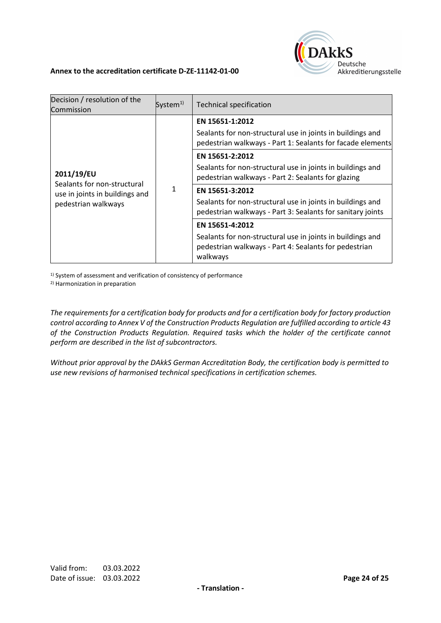

| Decision / resolution of the<br>Commission                    | System $1$ | <b>Technical specification</b>                                                                                                  |
|---------------------------------------------------------------|------------|---------------------------------------------------------------------------------------------------------------------------------|
|                                                               |            | EN 15651-1:2012                                                                                                                 |
|                                                               |            | Sealants for non-structural use in joints in buildings and<br>pedestrian walkways - Part 1: Sealants for facade elements        |
|                                                               |            | EN 15651-2:2012                                                                                                                 |
| 2011/19/EU                                                    |            | Sealants for non-structural use in joints in buildings and<br>pedestrian walkways - Part 2: Sealants for glazing                |
| Sealants for non-structural<br>use in joints in buildings and |            | EN 15651-3:2012                                                                                                                 |
| pedestrian walkways                                           |            | Sealants for non-structural use in joints in buildings and<br>pedestrian walkways - Part 3: Sealants for sanitary joints        |
|                                                               |            | EN 15651-4:2012                                                                                                                 |
|                                                               |            | Sealants for non-structural use in joints in buildings and<br>pedestrian walkways - Part 4: Sealants for pedestrian<br>walkways |

<sup>1)</sup> System of assessment and verification of consistency of performance

2) Harmonization in preparation

*The requirements for a certification body for products and for a certification body for factory production control according to Annex V of the Construction Products Regulation are fulfilled according to article 43 of the Construction Products Regulation. Required tasks which the holder of the certificate cannot perform are described in the list of subcontractors.*

*Without prior approval by the DAkkS German Accreditation Body, the certification body is permitted to use new revisions of harmonised technical specifications in certification schemes.*